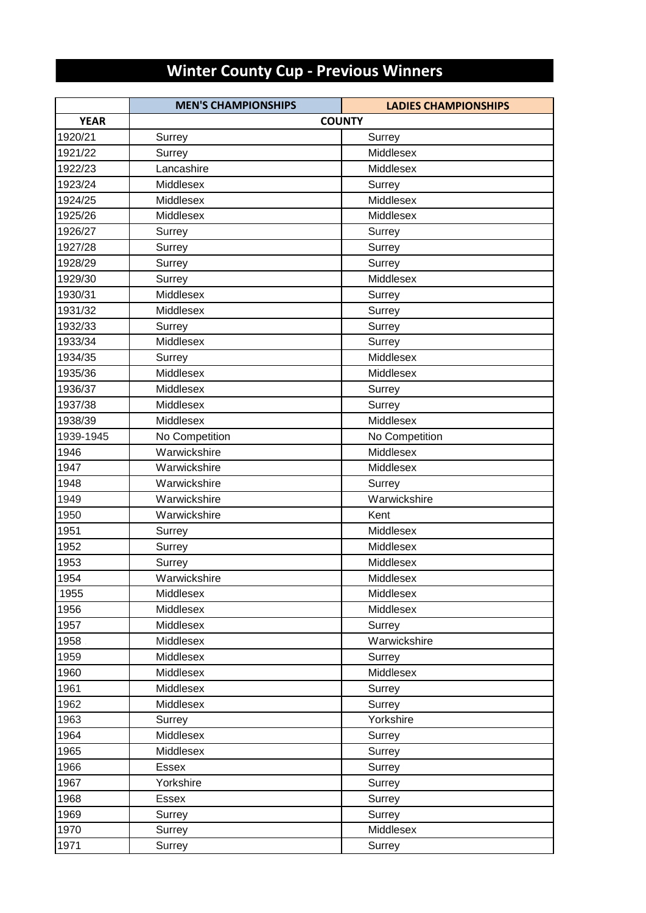## **Winter County Cup - Previous Winners**

|             | <b>MEN'S CHAMPIONSHIPS</b> | <b>LADIES CHAMPIONSHIPS</b> |
|-------------|----------------------------|-----------------------------|
| <b>YEAR</b> |                            | <b>COUNTY</b>               |
| 1920/21     | Surrey                     | Surrey                      |
| 1921/22     | Surrey                     | Middlesex                   |
| 1922/23     | Lancashire                 | Middlesex                   |
| 1923/24     | Middlesex                  | Surrey                      |
| 1924/25     | Middlesex                  | Middlesex                   |
| 1925/26     | Middlesex                  | Middlesex                   |
| 1926/27     | Surrey                     | Surrey                      |
| 1927/28     | Surrey                     | Surrey                      |
| 1928/29     | Surrey                     | Surrey                      |
| 1929/30     | Surrey                     | Middlesex                   |
| 1930/31     | Middlesex                  | Surrey                      |
| 1931/32     | Middlesex                  | Surrey                      |
| 1932/33     | Surrey                     | Surrey                      |
| 1933/34     | Middlesex                  | Surrey                      |
| 1934/35     | Surrey                     | Middlesex                   |
| 1935/36     | Middlesex                  | Middlesex                   |
| 1936/37     | Middlesex                  | Surrey                      |
| 1937/38     | Middlesex                  | Surrey                      |
| 1938/39     | Middlesex                  | Middlesex                   |
| 1939-1945   | No Competition             | No Competition              |
| 1946        | Warwickshire               | Middlesex                   |
| 1947        | Warwickshire               | Middlesex                   |
| 1948        | Warwickshire               | Surrey                      |
| 1949        | Warwickshire               | Warwickshire                |
| 1950        | Warwickshire               | Kent                        |
| 1951        | Surrey                     | Middlesex                   |
| 1952        | Surrey                     | Middlesex                   |
| 1953        | Surrey                     | Middlesex                   |
| 1954        | Warwickshire               | Middlesex                   |
| 1955        | Middlesex                  | Middlesex                   |
| 1956        | Middlesex                  | Middlesex                   |
| 1957        | Middlesex                  | Surrey                      |
| 1958        | Middlesex                  | Warwickshire                |
| 1959        | Middlesex                  | Surrey                      |
| 1960        | Middlesex                  | Middlesex                   |
| 1961        | Middlesex                  | Surrey                      |
| 1962        | Middlesex                  | Surrey                      |
| 1963        | Surrey                     | Yorkshire                   |
| 1964        | Middlesex                  | Surrey                      |
| 1965        | Middlesex                  | Surrey                      |
| 1966        | <b>Essex</b>               | Surrey                      |
| 1967        | Yorkshire                  | Surrey                      |
| 1968        | Essex                      | Surrey                      |
| 1969        | Surrey                     | Surrey                      |
| 1970        | Surrey                     | Middlesex                   |
| 1971        | Surrey                     | Surrey                      |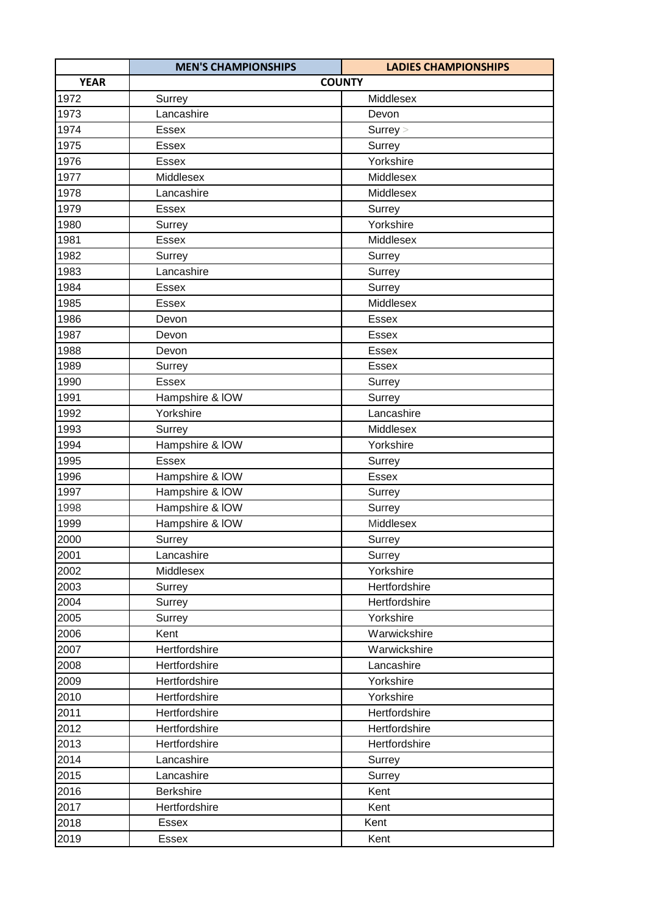|             | <b>MEN'S CHAMPIONSHIPS</b> | <b>LADIES CHAMPIONSHIPS</b> |
|-------------|----------------------------|-----------------------------|
| <b>YEAR</b> |                            | <b>COUNTY</b>               |
| 1972        | Surrey                     | Middlesex                   |
| 1973        | Lancashire                 | Devon                       |
| 1974        | <b>Essex</b>               | Surrey >                    |
| 1975        | <b>Essex</b>               | Surrey                      |
| 1976        | <b>Essex</b>               | Yorkshire                   |
| 1977        | Middlesex                  | Middlesex                   |
| 1978        | Lancashire                 | Middlesex                   |
| 1979        | <b>Essex</b>               | Surrey                      |
| 1980        | Surrey                     | Yorkshire                   |
| 1981        | Essex                      | Middlesex                   |
| 1982        | Surrey                     | Surrey                      |
| 1983        | Lancashire                 | Surrey                      |
| 1984        | <b>Essex</b>               | Surrey                      |
| 1985        | <b>Essex</b>               | Middlesex                   |
| 1986        | Devon                      | Essex                       |
| 1987        | Devon                      | Essex                       |
| 1988        | Devon                      | <b>Essex</b>                |
| 1989        | Surrey                     | <b>Essex</b>                |
| 1990        | <b>Essex</b>               | Surrey                      |
| 1991        | Hampshire & IOW            | Surrey                      |
| 1992        | Yorkshire                  | Lancashire                  |
| 1993        | Surrey                     | Middlesex                   |
| 1994        | Hampshire & IOW            | Yorkshire                   |
| 1995        | <b>Essex</b>               | Surrey                      |
| 1996        | Hampshire & IOW            | Essex                       |
| 1997        | Hampshire & IOW            | Surrey                      |
| 1998        | Hampshire & IOW            | Surrey                      |
| 1999        | Hampshire & IOW            | Middlesex                   |
| 2000        | Surrey                     | Surrey                      |
| 2001        | Lancashire                 | Surrey                      |
| 2002        | Middlesex                  | Yorkshire                   |
| 2003        | Surrey                     | Hertfordshire               |
| 2004        | Surrey                     | Hertfordshire               |
| 2005        | Surrey                     | Yorkshire                   |
| 2006        | Kent                       | Warwickshire                |
| 2007        | Hertfordshire              | Warwickshire                |
| 2008        | Hertfordshire              | Lancashire                  |
| 2009        | Hertfordshire              | Yorkshire                   |
| 2010        | Hertfordshire              | Yorkshire                   |
| 2011        | Hertfordshire              | Hertfordshire               |
| 2012        | Hertfordshire              | Hertfordshire               |
| 2013        | Hertfordshire              | Hertfordshire               |
| 2014        | Lancashire                 | Surrey                      |
| 2015        | Lancashire                 | Surrey                      |
| 2016        | <b>Berkshire</b>           | Kent                        |
| 2017        | Hertfordshire              | Kent                        |
| 2018        | Essex                      | Kent                        |
| 2019        | Essex                      | Kent                        |